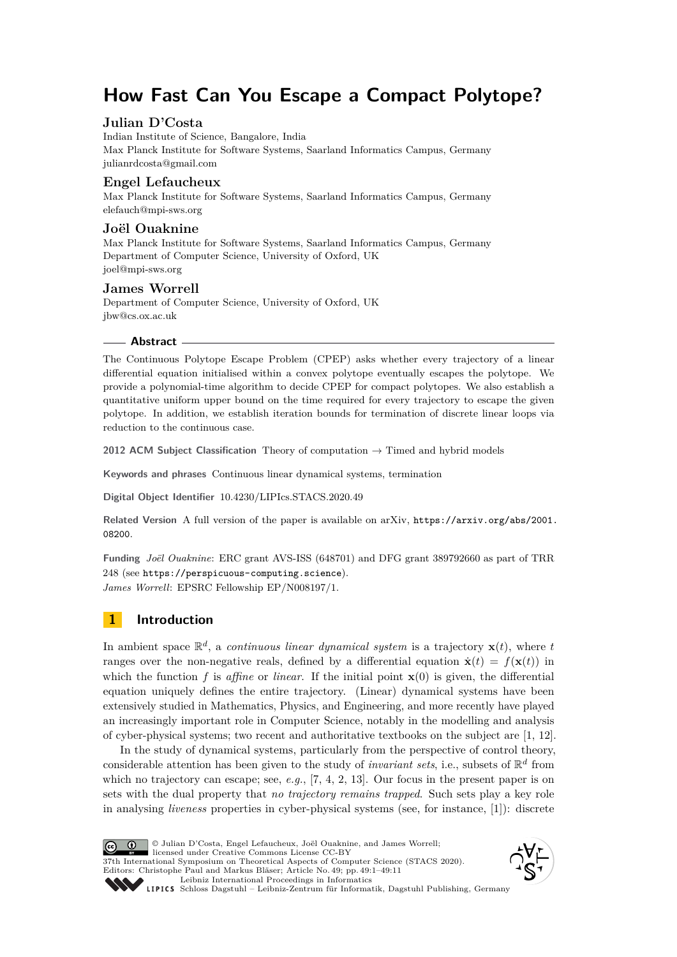# **How Fast Can You Escape a Compact Polytope?**

# **Julian D'Costa**

Indian Institute of Science, Bangalore, India Max Planck Institute for Software Systems, Saarland Informatics Campus, Germany [julianrdcosta@gmail.com](mailto:julianrdcosta@gmail.com)

# **Engel Lefaucheux**

Max Planck Institute for Software Systems, Saarland Informatics Campus, Germany [elefauch@mpi-sws.org](mailto:elefauch@mpi-sws.org)

# **Joël Ouaknine**

Max Planck Institute for Software Systems, Saarland Informatics Campus, Germany Department of Computer Science, University of Oxford, UK [joel@mpi-sws.org](mailto:joel@mpi-sws.org)

# **James Worrell**

Department of Computer Science, University of Oxford, UK [jbw@cs.ox.ac.uk](mailto:jbw@cs.ox.ac.uk)

# **Abstract**

The Continuous Polytope Escape Problem (CPEP) asks whether every trajectory of a linear differential equation initialised within a convex polytope eventually escapes the polytope. We provide a polynomial-time algorithm to decide CPEP for compact polytopes. We also establish a quantitative uniform upper bound on the time required for every trajectory to escape the given polytope. In addition, we establish iteration bounds for termination of discrete linear loops via reduction to the continuous case.

**2012 ACM Subject Classification** Theory of computation → Timed and hybrid models

**Keywords and phrases** Continuous linear dynamical systems, termination

**Digital Object Identifier** [10.4230/LIPIcs.STACS.2020.49](https://doi.org/10.4230/LIPIcs.STACS.2020.49)

**Related Version** A full version of the paper is available on arXiv, [https://arxiv.org/abs/2001.](https://arxiv.org/abs/2001.08200) [08200](https://arxiv.org/abs/2001.08200).

**Funding** *Joël Ouaknine*: ERC grant AVS-ISS (648701) and DFG grant 389792660 as part of TRR 248 (see <https://perspicuous-computing.science>). *James Worrell*: EPSRC Fellowship EP/N008197/1.

# **1 Introduction**

In ambient space  $\mathbb{R}^d$ , a *continuous linear dynamical system* is a trajectory  $\mathbf{x}(t)$ , where *t* ranges over the non-negative reals, defined by a differential equation  $\dot{\mathbf{x}}(t) = f(\mathbf{x}(t))$  in which the function  $f$  is *affine* or *linear*. If the initial point  $\mathbf{x}(0)$  is given, the differential equation uniquely defines the entire trajectory. (Linear) dynamical systems have been extensively studied in Mathematics, Physics, and Engineering, and more recently have played an increasingly important role in Computer Science, notably in the modelling and analysis of cyber-physical systems; two recent and authoritative textbooks on the subject are [\[1,](#page-10-0) [12\]](#page-10-1).

In the study of dynamical systems, particularly from the perspective of control theory, considerable attention has been given to the study of *invariant sets*, i.e., subsets of  $\mathbb{R}^d$  from which no trajectory can escape; see, *e.g.*, [\[7,](#page-10-2) [4,](#page-10-3) [2,](#page-10-4) [13\]](#page-10-5). Our focus in the present paper is on sets with the dual property that *no trajectory remains trapped*. Such sets play a key role in analysing *liveness* properties in cyber-physical systems (see, for instance, [\[1\]](#page-10-0)): discrete

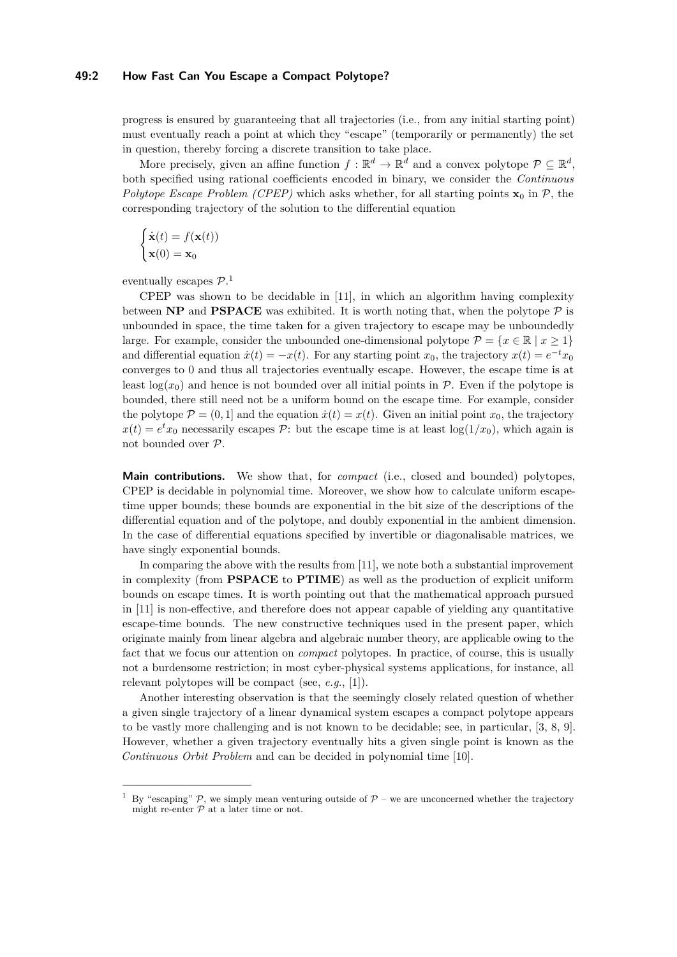### **49:2 How Fast Can You Escape a Compact Polytope?**

progress is ensured by guaranteeing that all trajectories (i.e., from any initial starting point) must eventually reach a point at which they "escape" (temporarily or permanently) the set in question, thereby forcing a discrete transition to take place.

More precisely, given an affine function  $f : \mathbb{R}^d \to \mathbb{R}^d$  and a convex polytope  $\mathcal{P} \subseteq \mathbb{R}^d$ , both specified using rational coefficients encoded in binary, we consider the *Continuous Polytope Escape Problem (CPEP)* which asks whether, for all starting points  $\mathbf{x}_0$  in  $\mathcal{P}$ , the corresponding trajectory of the solution to the differential equation

$$
\begin{cases} \dot{\mathbf{x}}(t) = f(\mathbf{x}(t)) \\ \mathbf{x}(0) = \mathbf{x}_0 \end{cases}
$$

eventually escapes  $\mathcal{P}.^1$  $\mathcal{P}.^1$ 

CPEP was shown to be decidable in [\[11\]](#page-10-7), in which an algorithm having complexity between **NP** and **PSPACE** was exhibited. It is worth noting that, when the polytope  $P$  is unbounded in space, the time taken for a given trajectory to escape may be unboundedly large. For example, consider the unbounded one-dimensional polytope  $\mathcal{P} = \{x \in \mathbb{R} \mid x \geq 1\}$ and differential equation  $\dot{x}(t) = -x(t)$ . For any starting point  $x_0$ , the trajectory  $x(t) = e^{-t}x_0$ converges to 0 and thus all trajectories eventually escape. However, the escape time is at least  $log(x_0)$  and hence is not bounded over all initial points in P. Even if the polytope is bounded, there still need not be a uniform bound on the escape time. For example, consider the polytope  $\mathcal{P} = (0, 1]$  and the equation  $\dot{x}(t) = x(t)$ . Given an initial point  $x_0$ , the trajectory  $x(t) = e^t x_0$  necessarily escapes P: but the escape time is at least  $log(1/x_0)$ , which again is not bounded over P.

**Main contributions.** We show that, for *compact* (i.e., closed and bounded) polytopes, CPEP is decidable in polynomial time. Moreover, we show how to calculate uniform escapetime upper bounds; these bounds are exponential in the bit size of the descriptions of the differential equation and of the polytope, and doubly exponential in the ambient dimension. In the case of differential equations specified by invertible or diagonalisable matrices, we have singly exponential bounds.

In comparing the above with the results from [\[11\]](#page-10-7), we note both a substantial improvement in complexity (from **PSPACE** to **PTIME**) as well as the production of explicit uniform bounds on escape times. It is worth pointing out that the mathematical approach pursued in [\[11\]](#page-10-7) is non-effective, and therefore does not appear capable of yielding any quantitative escape-time bounds. The new constructive techniques used in the present paper, which originate mainly from linear algebra and algebraic number theory, are applicable owing to the fact that we focus our attention on *compact* polytopes. In practice, of course, this is usually not a burdensome restriction; in most cyber-physical systems applications, for instance, all relevant polytopes will be compact (see, *e.g.*, [\[1\]](#page-10-0)).

Another interesting observation is that the seemingly closely related question of whether a given single trajectory of a linear dynamical system escapes a compact polytope appears to be vastly more challenging and is not known to be decidable; see, in particular, [\[3,](#page-10-8) [8,](#page-10-9) [9\]](#page-10-10). However, whether a given trajectory eventually hits a given single point is known as the *Continuous Orbit Problem* and can be decided in polynomial time [\[10\]](#page-10-11).

<span id="page-1-0"></span>By "escaping"  $\mathcal{P}$ , we simply mean venturing outside of  $\mathcal{P}$  – we are unconcerned whether the trajectory might re-enter  $P$  at a later time or not.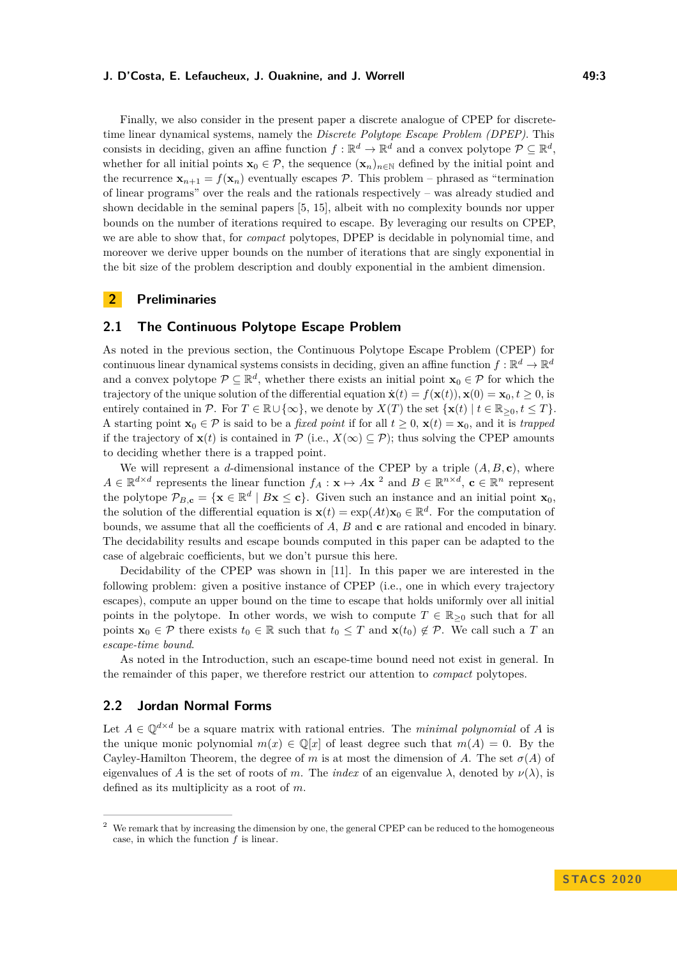Finally, we also consider in the present paper a discrete analogue of CPEP for discretetime linear dynamical systems, namely the *Discrete Polytope Escape Problem (DPEP)*. This consists in deciding, given an affine function  $f: \mathbb{R}^d \to \mathbb{R}^d$  and a convex polytope  $\mathcal{P} \subseteq \mathbb{R}^d$ , whether for all initial points  $\mathbf{x}_0 \in \mathcal{P}$ , the sequence  $(\mathbf{x}_n)_{n \in \mathbb{N}}$  defined by the initial point and the recurrence  $\mathbf{x}_{n+1} = f(\mathbf{x}_n)$  eventually escapes P. This problem – phrased as "termination" of linear programs" over the reals and the rationals respectively – was already studied and shown decidable in the seminal papers [\[5,](#page-10-12) [15\]](#page-10-13), albeit with no complexity bounds nor upper bounds on the number of iterations required to escape. By leveraging our results on CPEP, we are able to show that, for *compact* polytopes, DPEP is decidable in polynomial time, and moreover we derive upper bounds on the number of iterations that are singly exponential in the bit size of the problem description and doubly exponential in the ambient dimension.

### **2 Preliminaries**

# **2.1 The Continuous Polytope Escape Problem**

As noted in the previous section, the Continuous Polytope Escape Problem (CPEP) for continuous linear dynamical systems consists in deciding, given an affine function  $f : \mathbb{R}^d \to \mathbb{R}^d$ and a convex polytope  $\mathcal{P} \subseteq \mathbb{R}^d$ , whether there exists an initial point  $\mathbf{x}_0 \in \mathcal{P}$  for which the trajectory of the unique solution of the differential equation  $\dot{\mathbf{x}}(t) = f(\mathbf{x}(t)), \mathbf{x}(0) = \mathbf{x}_0, t \geq 0$ , is entirely contained in  $\mathcal{P}$ . For  $T \in \mathbb{R} \cup \{\infty\}$ , we denote by  $X(T)$  the set  $\{\mathbf{x}(t) \mid t \in \mathbb{R}_{\geq 0}, t \leq T\}$ . A starting point  $\mathbf{x}_0 \in \mathcal{P}$  is said to be a *fixed point* if for all  $t \geq 0$ ,  $\mathbf{x}(t) = \mathbf{x}_0$ , and it is *trapped* if the trajectory of  $\mathbf{x}(t)$  is contained in  $\mathcal{P}$  (i.e.,  $X(\infty) \subseteq \mathcal{P}$ ); thus solving the CPEP amounts to deciding whether there is a trapped point.

We will represent a *d*-dimensional instance of the CPEP by a triple  $(A, B, c)$ , where  $A \in \mathbb{R}^{d \times d}$  represents the linear function  $f_A: \mathbf{x} \mapsto A\mathbf{x}^2$  $f_A: \mathbf{x} \mapsto A\mathbf{x}^2$  and  $B \in \mathbb{R}^{n \times d}$ ,  $\mathbf{c} \in \mathbb{R}^n$  represent the polytope  $\mathcal{P}_{B,\mathbf{c}} = {\mathbf{x} \in \mathbb{R}^d | B\mathbf{x} \leq \mathbf{c}}$ . Given such an instance and an initial point  $\mathbf{x}_0$ , the solution of the differential equation is  $\mathbf{x}(t) = \exp(At)\mathbf{x}_0 \in \mathbb{R}^d$ . For the computation of bounds, we assume that all the coefficients of *A*, *B* and **c** are rational and encoded in binary. The decidability results and escape bounds computed in this paper can be adapted to the case of algebraic coefficients, but we don't pursue this here.

Decidability of the CPEP was shown in [\[11\]](#page-10-7). In this paper we are interested in the following problem: given a positive instance of CPEP (i.e., one in which every trajectory escapes), compute an upper bound on the time to escape that holds uniformly over all initial points in the polytope. In other words, we wish to compute  $T \in \mathbb{R}_{\geq 0}$  such that for all points  $\mathbf{x}_0 \in \mathcal{P}$  there exists  $t_0 \in \mathbb{R}$  such that  $t_0 \leq T$  and  $\mathbf{x}(t_0) \notin \mathcal{P}$ . We call such a *T* an *escape-time bound*.

As noted in the Introduction, such an escape-time bound need not exist in general. In the remainder of this paper, we therefore restrict our attention to *compact* polytopes.

# **2.2 Jordan Normal Forms**

Let  $A \in \mathbb{Q}^{d \times d}$  be a square matrix with rational entries. The *minimal polynomial* of A is the unique monic polynomial  $m(x) \in \mathbb{O}[x]$  of least degree such that  $m(A) = 0$ . By the Cayley-Hamilton Theorem, the degree of *m* is at most the dimension of *A*. The set  $\sigma(A)$  of eigenvalues of *A* is the set of roots of *m*. The *index* of an eigenvalue  $\lambda$ , denoted by  $\nu(\lambda)$ , is defined as its multiplicity as a root of *m*.

<span id="page-2-0"></span><sup>&</sup>lt;sup>2</sup> We remark that by increasing the dimension by one, the general CPEP can be reduced to the homogeneous case, in which the function *f* is linear.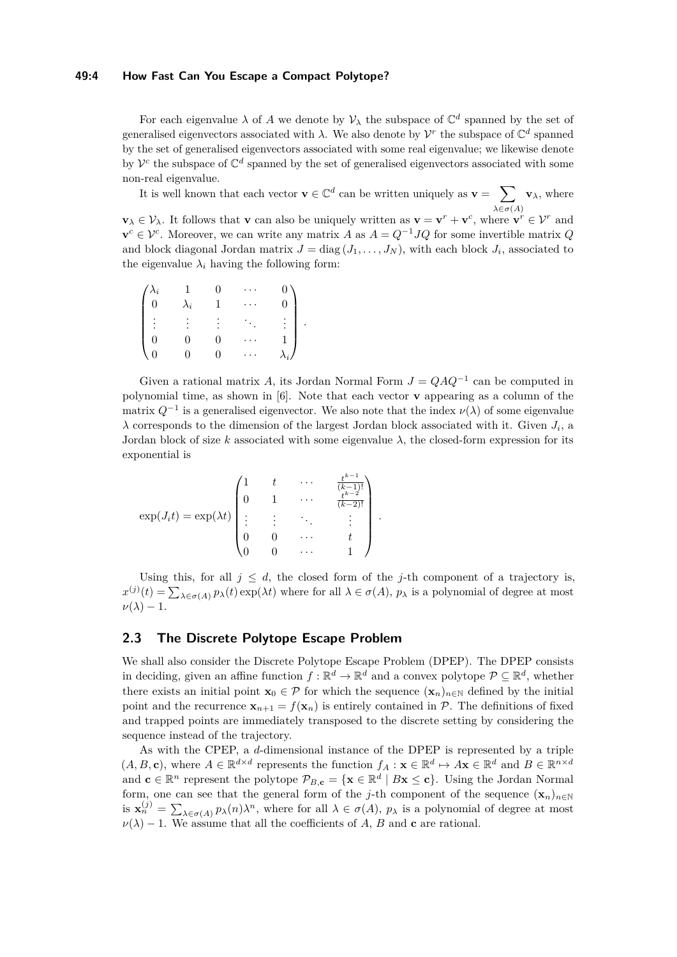#### **49:4 How Fast Can You Escape a Compact Polytope?**

For each eigenvalue  $\lambda$  of A we denote by  $\mathcal{V}_{\lambda}$  the subspace of  $\mathbb{C}^{d}$  spanned by the set of generalised eigenvectors associated with  $\lambda$ . We also denote by  $\mathcal{V}^r$  the subspace of  $\mathbb{C}^d$  spanned by the set of generalised eigenvectors associated with some real eigenvalue; we likewise denote by  $\mathcal{V}^c$  the subspace of  $\mathbb{C}^d$  spanned by the set of generalised eigenvectors associated with some non-real eigenvalue.

It is well known that each vector  $\mathbf{v} \in \mathbb{C}^d$  can be written uniquely as  $\mathbf{v} = \sum$  $λ ∈ σ(A)$ **v***λ*, where

 $\mathbf{v}_{\lambda} \in \mathcal{V}_{\lambda}$ . It follows that **v** can also be uniquely written as  $\mathbf{v} = \mathbf{v}^{r} + \mathbf{v}^{c}$ , where  $\mathbf{v}^{r} \in \mathcal{V}^{r}$  and  $\mathbf{v}^c \in \mathcal{V}^c$ . Moreover, we can write any matrix *A* as  $A = Q^{-1}JQ$  for some invertible matrix *Q* and block diagonal Jordan matrix  $J = \text{diag}(J_1, \ldots, J_N)$ , with each block  $J_i$ , associated to the eigenvalue  $\lambda_i$  having the following form:

| $\int_0^{\lambda_i}$                   | $\lambda_i$ |    |     | $\overline{0}$      |
|----------------------------------------|-------------|----|-----|---------------------|
| ٠<br>$\vert \hspace{0.1cm} :$          | $\bullet$   |    | ÷., | ٠                   |
| $\begin{pmatrix} 0 \\ 0 \end{pmatrix}$ |             |    |     |                     |
|                                        |             | O) |     | $\bar{\lambda}_{i}$ |

Given a rational matrix *A*, its Jordan Normal Form  $J = QAQ^{-1}$  can be computed in polynomial time, as shown in [\[6\]](#page-10-14). Note that each vector **v** appearing as a column of the matrix  $Q^{-1}$  is a generalised eigenvector. We also note that the index  $\nu(\lambda)$  of some eigenvalue  $\lambda$  corresponds to the dimension of the largest Jordan block associated with it. Given  $J_i$ , a Jordan block of size  $k$  associated with some eigenvalue  $\lambda$ , the closed-form expression for its exponential is

$$
\exp(J_i t) = \exp(\lambda t) \begin{pmatrix} 1 & t & \cdots & \frac{t^{k-1}}{(k-1)!} \\ 0 & 1 & \cdots & \frac{t^{k-2}}{(k-2)!} \\ \vdots & \vdots & \ddots & \vdots \\ 0 & 0 & \cdots & t \\ 0 & 0 & \cdots & 1 \end{pmatrix}.
$$

Using this, for all  $j \leq d$ , the closed form of the *j*-th component of a trajectory is,  $x^{(j)}(t) = \sum_{\lambda \in \sigma(A)} p_{\lambda}(t) \exp(\lambda t)$  where for all  $\lambda \in \sigma(A)$ ,  $p_{\lambda}$  is a polynomial of degree at most  $\nu(\lambda) - 1$ .

# **2.3 The Discrete Polytope Escape Problem**

We shall also consider the Discrete Polytope Escape Problem (DPEP). The DPEP consists in deciding, given an affine function  $f: \mathbb{R}^d \to \mathbb{R}^d$  and a convex polytope  $\mathcal{P} \subseteq \mathbb{R}^d$ , whether there exists an initial point  $\mathbf{x}_0 \in \mathcal{P}$  for which the sequence  $(\mathbf{x}_n)_{n \in \mathbb{N}}$  defined by the initial point and the recurrence  $\mathbf{x}_{n+1} = f(\mathbf{x}_n)$  is entirely contained in P. The definitions of fixed and trapped points are immediately transposed to the discrete setting by considering the sequence instead of the trajectory.

As with the CPEP, a *d*-dimensional instance of the DPEP is represented by a triple  $(A, B, c)$ , where  $A \in \mathbb{R}^{d \times d}$  represents the function  $f_A : \mathbf{x} \in \mathbb{R}^d \mapsto A\mathbf{x} \in \mathbb{R}^d$  and  $B \in \mathbb{R}^{n \times d}$ and  $\mathbf{c} \in \mathbb{R}^n$  represent the polytope  $\mathcal{P}_{B,\mathbf{c}} = {\mathbf{x} \in \mathbb{R}^d | B\mathbf{x} \leq \mathbf{c}}$ . Using the Jordan Normal form, one can see that the general form of the *j*-th component of the sequence  $(\mathbf{x}_n)_{n\in\mathbb{N}}$ is  $\mathbf{x}_n^{(j)} = \sum_{\lambda \in \sigma(A)} p_{\lambda}(n) \lambda^n$ , where for all  $\lambda \in \sigma(A)$ ,  $p_{\lambda}$  is a polynomial of degree at most  $\nu(\lambda) - 1$ . We assume that all the coefficients of *A*, *B* and **c** are rational.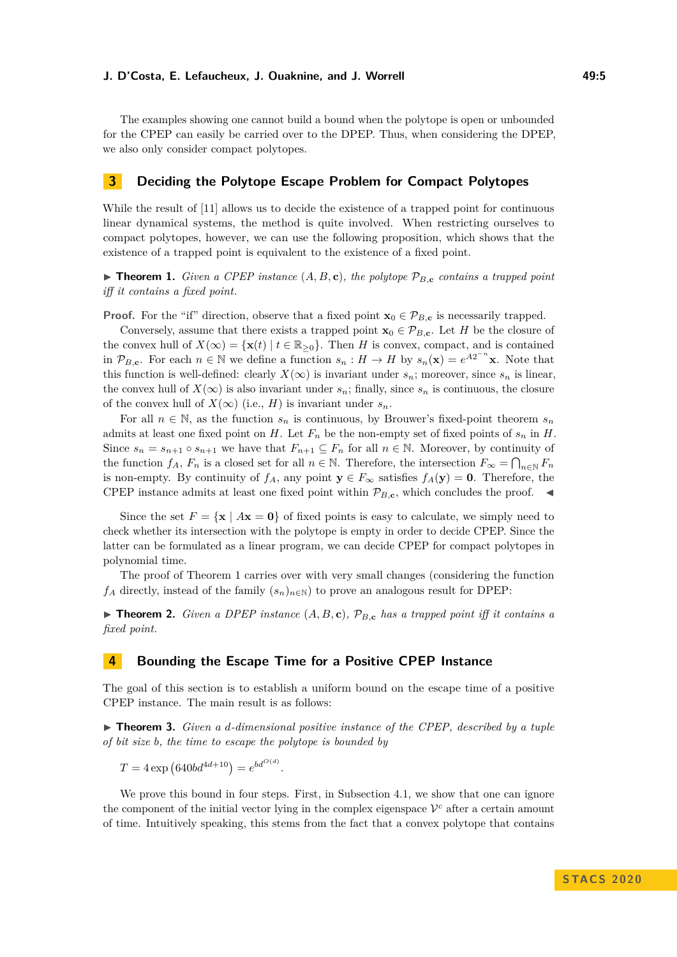The examples showing one cannot build a bound when the polytope is open or unbounded for the CPEP can easily be carried over to the DPEP. Thus, when considering the DPEP, we also only consider compact polytopes.

# **3 Deciding the Polytope Escape Problem for Compact Polytopes**

While the result of [\[11\]](#page-10-7) allows us to decide the existence of a trapped point for continuous linear dynamical systems, the method is quite involved. When restricting ourselves to compact polytopes, however, we can use the following proposition, which shows that the existence of a trapped point is equivalent to the existence of a fixed point.

<span id="page-4-0"></span> $\blacktriangleright$  **Theorem 1.** *Given a CPEP instance*  $(A, B, c)$ *, the polytope*  $\mathcal{P}_{B, c}$  *contains a trapped point iff it contains a fixed point.*

**Proof.** For the "if" direction, observe that a fixed point  $\mathbf{x}_0 \in \mathcal{P}_{B,\mathbf{c}}$  is necessarily trapped.

Conversely, assume that there exists a trapped point  $\mathbf{x}_0 \in \mathcal{P}_{B,\mathbf{c}}$ . Let *H* be the closure of the convex hull of  $X(\infty) = {\mathbf{x}(t) | t \in \mathbb{R}_{\geq 0}}$ . Then *H* is convex, compact, and is contained in  $\mathcal{P}_{B,\mathbf{c}}$ . For each  $n \in \mathbb{N}$  we define a function  $s_n : H \to H$  by  $s_n(\mathbf{x}) = e^{A2^{-n}\mathbf{x}}$ . Note that this function is well-defined: clearly  $X(\infty)$  is invariant under  $s_n$ ; moreover, since  $s_n$  is linear, the convex hull of  $X(\infty)$  is also invariant under  $s_n$ ; finally, since  $s_n$  is continuous, the closure of the convex hull of  $X(\infty)$  (i.e., *H*) is invariant under  $s_n$ .

For all  $n \in \mathbb{N}$ , as the function  $s_n$  is continuous, by Brouwer's fixed-point theorem  $s_n$ admits at least one fixed point on *H*. Let  $F_n$  be the non-empty set of fixed points of  $s_n$  in *H*. Since  $s_n = s_{n+1} \circ s_{n+1}$  we have that  $F_{n+1} \subseteq F_n$  for all  $n \in \mathbb{N}$ . Moreover, by continuity of the function  $f_A$ ,  $F_n$  is a closed set for all  $n \in \mathbb{N}$ . Therefore, the intersection  $F_{\infty} = \bigcap_{n \in \mathbb{N}} F_n$ is non-empty. By continuity of  $f_A$ , any point  $\mathbf{y} \in F_\infty$  satisfies  $f_A(\mathbf{y}) = \mathbf{0}$ . Therefore, the CPEP instance admits at least one fixed point within  $\mathcal{P}_{B,\mathbf{c}}$ , which concludes the proof.  $\blacktriangleleft$ 

Since the set  $F = \{x \mid Ax = 0\}$  of fixed points is easy to calculate, we simply need to check whether its intersection with the polytope is empty in order to decide CPEP. Since the latter can be formulated as a linear program, we can decide CPEP for compact polytopes in polynomial time.

The proof of Theorem [1](#page-4-0) carries over with very small changes (considering the function  $f_A$  directly, instead of the family  $(s_n)_{n\in\mathbb{N}}$  to prove an analogous result for DPEP:

 $\triangleright$  **Theorem 2.** *Given a DPEP instance*  $(A, B, c)$ *,*  $\mathcal{P}_{B, c}$  *has a trapped point iff it contains a fixed point.*

# **4 Bounding the Escape Time for a Positive CPEP Instance**

The goal of this section is to establish a uniform bound on the escape time of a positive CPEP instance. The main result is as follows:

<span id="page-4-1"></span> $\triangleright$  **Theorem 3.** *Given a d-dimensional positive instance of the CPEP, described by a tuple of bit size b, the time to escape the polytope is bounded by*

 $T = 4 \exp (640bd^{4d+10}) = e^{bd^{O(d)}}.$ 

We prove this bound in four steps. First, in Subsection [4.1,](#page-5-0) we show that one can ignore the component of the initial vector lying in the complex eigenspace  $\mathcal{V}^c$  after a certain amount of time. Intuitively speaking, this stems from the fact that a convex polytope that contains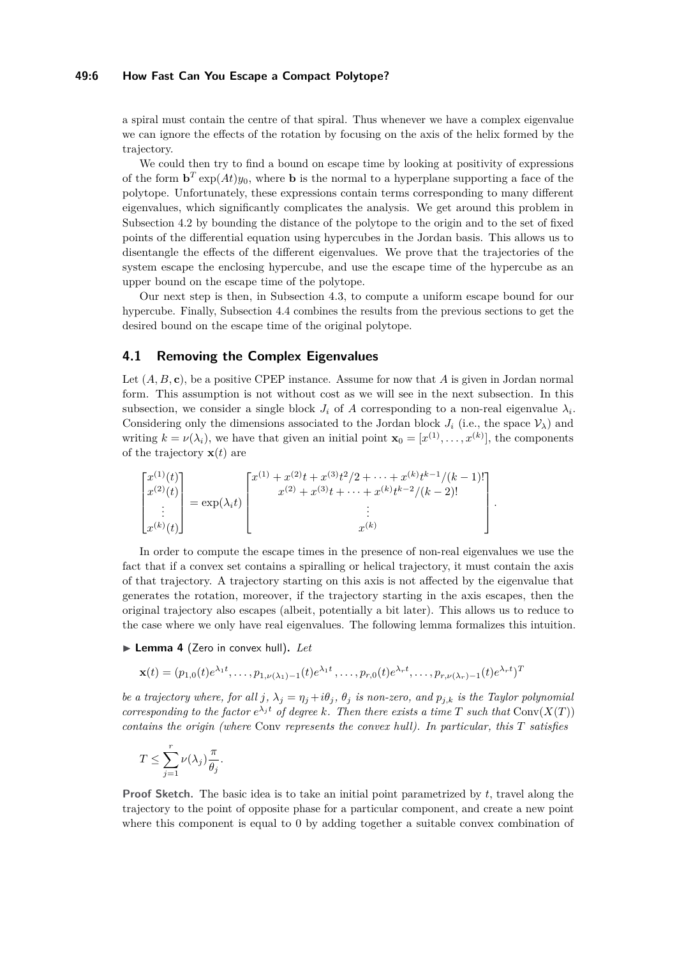#### **49:6 How Fast Can You Escape a Compact Polytope?**

a spiral must contain the centre of that spiral. Thus whenever we have a complex eigenvalue we can ignore the effects of the rotation by focusing on the axis of the helix formed by the trajectory.

We could then try to find a bound on escape time by looking at positivity of expressions of the form  $\mathbf{b}^T \exp(At)y_0$ , where **b** is the normal to a hyperplane supporting a face of the polytope. Unfortunately, these expressions contain terms corresponding to many different eigenvalues, which significantly complicates the analysis. We get around this problem in Subsection [4.2](#page-6-0) by bounding the distance of the polytope to the origin and to the set of fixed points of the differential equation using hypercubes in the Jordan basis. This allows us to disentangle the effects of the different eigenvalues. We prove that the trajectories of the system escape the enclosing hypercube, and use the escape time of the hypercube as an upper bound on the escape time of the polytope.

Our next step is then, in Subsection [4.3,](#page-7-0) to compute a uniform escape bound for our hypercube. Finally, Subsection [4.4](#page-8-0) combines the results from the previous sections to get the desired bound on the escape time of the original polytope.

### <span id="page-5-0"></span>**4.1 Removing the Complex Eigenvalues**

Let (*A, B,* **c**), be a positive CPEP instance. Assume for now that *A* is given in Jordan normal form. This assumption is not without cost as we will see in the next subsection. In this subsection, we consider a single block  $J_i$  of  $A$  corresponding to a non-real eigenvalue  $\lambda_i$ . Considering only the dimensions associated to the Jordan block  $J_i$  (i.e., the space  $V_\lambda$ ) and writing  $k = \nu(\lambda_i)$ , we have that given an initial point  $\mathbf{x}_0 = [x^{(1)}, \dots, x^{(k)}]$ , the components of the trajectory  $\mathbf{x}(t)$  are

$$
\begin{bmatrix} x^{(1)}(t) \\ x^{(2)}(t) \\ \vdots \\ x^{(k)}(t) \end{bmatrix} = \exp(\lambda_i t) \begin{bmatrix} x^{(1)} + x^{(2)}t + x^{(3)}t^2/2 + \dots + x^{(k)}t^{k-1}/(k-1)! \\ x^{(2)} + x^{(3)}t + \dots + x^{(k)}t^{k-2}/(k-2)! \\ \vdots \\ x^{(k)} \end{bmatrix}.
$$

In order to compute the escape times in the presence of non-real eigenvalues we use the fact that if a convex set contains a spiralling or helical trajectory, it must contain the axis of that trajectory. A trajectory starting on this axis is not affected by the eigenvalue that generates the rotation, moreover, if the trajectory starting in the axis escapes, then the original trajectory also escapes (albeit, potentially a bit later). This allows us to reduce to the case where we only have real eigenvalues. The following lemma formalizes this intuition.

<span id="page-5-1"></span>▶ Lemma 4 (Zero in convex hull). Let

$$
\mathbf{x}(t) = (p_{1,0}(t)e^{\lambda_1 t}, \dots, p_{1,\nu(\lambda_1)-1}(t)e^{\lambda_1 t}, \dots, p_{r,0}(t)e^{\lambda_r t}, \dots, p_{r,\nu(\lambda_r)-1}(t)e^{\lambda_r t})^T
$$

*be a trajectory where, for all j*,  $\lambda_i = \eta_i + i\theta_i$ ,  $\theta_i$  *is non-zero, and*  $p_{i,k}$  *is the Taylor polynomial corresponding to the factor*  $e^{\lambda_j t}$  *of degree k. Then there exists a time T such that*  $Conv(X(T))$ *contains the origin (where* Conv *represents the convex hull). In particular, this T satisfies*

$$
T \leq \sum_{j=1}^r \nu(\lambda_j) \frac{\pi}{\theta_j}.
$$

**Proof Sketch.** The basic idea is to take an initial point parametrized by *t*, travel along the trajectory to the point of opposite phase for a particular component, and create a new point where this component is equal to 0 by adding together a suitable convex combination of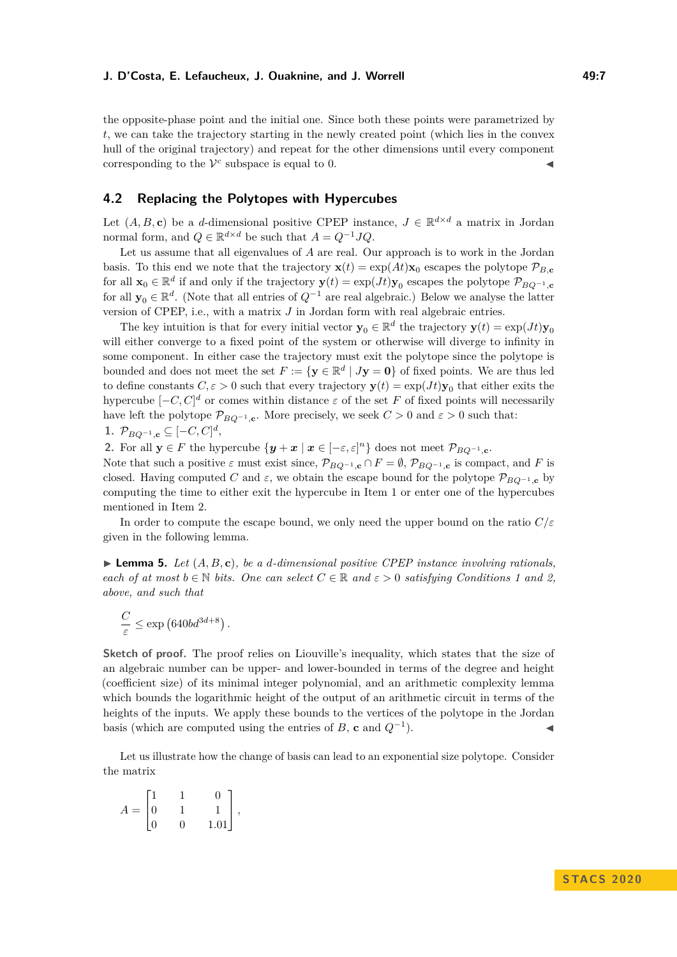the opposite-phase point and the initial one. Since both these points were parametrized by *t*, we can take the trajectory starting in the newly created point (which lies in the convex hull of the original trajectory) and repeat for the other dimensions until every component corresponding to the  $V^c$  subspace is equal to 0.

# <span id="page-6-0"></span>**4.2 Replacing the Polytopes with Hypercubes**

Let  $(A, B, c)$  be a *d*-dimensional positive CPEP instance,  $J \in \mathbb{R}^{d \times d}$  a matrix in Jordan normal form, and  $Q \in \mathbb{R}^{d \times d}$  be such that  $A = Q^{-1}JQ$ .

Let us assume that all eigenvalues of *A* are real. Our approach is to work in the Jordan basis. To this end we note that the trajectory  $\mathbf{x}(t) = \exp(At)\mathbf{x}_0$  escapes the polytope  $\mathcal{P}_{B,\mathbf{c}}$ for all  $\mathbf{x}_0 \in \mathbb{R}^d$  if and only if the trajectory  $\mathbf{y}(t) = \exp(Jt)\mathbf{y}_0$  escapes the polytope  $\mathcal{P}_{BQ^{-1},\mathbf{c}}$ for all  $y_0 \in \mathbb{R}^d$ . (Note that all entries of  $Q^{-1}$  are real algebraic.) Below we analyse the latter version of CPEP, i.e., with a matrix *J* in Jordan form with real algebraic entries.

The key intuition is that for every initial vector  $\mathbf{y}_0 \in \mathbb{R}^d$  the trajectory  $\mathbf{y}(t) = \exp(Jt)\mathbf{y}_0$ will either converge to a fixed point of the system or otherwise will diverge to infinity in some component. In either case the trajectory must exit the polytope since the polytope is bounded and does not meet the set  $F := \{ \mathbf{y} \in \mathbb{R}^d \mid J\mathbf{y} = \mathbf{0} \}$  of fixed points. We are thus led to define constants  $C, \varepsilon > 0$  such that every trajectory  $\mathbf{y}(t) = \exp(Jt)\mathbf{y}_0$  that either exits the hypercube  $[-C, C]^d$  or comes within distance  $\varepsilon$  of the set F of fixed points will necessarily have left the polytope  $\mathcal{P}_{BQ^{-1},\mathbf{c}}$ . More precisely, we seek  $C > 0$  and  $\varepsilon > 0$  such that: **1.**  $\mathcal{P}_{BQ^{-1},c}$  ⊆  $[-C, C]^d$ ,

**2.** For all  $y \in F$  the hypercube  $\{y + x \mid x \in [-\varepsilon, \varepsilon]^n\}$  does not meet  $\mathcal{P}_{BQ^{-1},c}$ .

Note that such a positive  $\varepsilon$  must exist since,  $\mathcal{P}_{BQ^{-1},c} \cap F = \emptyset$ ,  $\mathcal{P}_{BQ^{-1},c}$  is compact, and *F* is closed. Having computed *C* and  $\varepsilon$ , we obtain the escape bound for the polytope  $\mathcal{P}_{BQ^{-1},\mathbf{c}}$  by computing the time to either exit the hypercube in Item 1 or enter one of the hypercubes mentioned in Item 2.

In order to compute the escape bound, we only need the upper bound on the ratio *C/ε* given in the following lemma.

<span id="page-6-1"></span> $\blacktriangleright$  **Lemma 5.** Let  $(A, B, c)$ , be a *d*-dimensional positive CPEP instance involving rationals, *each of at most*  $b \in \mathbb{N}$  *bits. One can select*  $C \in \mathbb{R}$  *and*  $\varepsilon > 0$  *satisfying Conditions 1 and 2, above, and such that*

$$
\frac{C}{\varepsilon} \le \exp\left(640bd^{3d+8}\right).
$$

**Sketch of proof.** The proof relies on Liouville's inequality, which states that the size of an algebraic number can be upper- and lower-bounded in terms of the degree and height (coefficient size) of its minimal integer polynomial, and an arithmetic complexity lemma which bounds the logarithmic height of the output of an arithmetic circuit in terms of the heights of the inputs. We apply these bounds to the vertices of the polytope in the Jordan basis (which are computed using the entries of *B*, **c** and  $Q^{-1}$ ).  $\blacksquare$ ).

Let us illustrate how the change of basis can lead to an exponential size polytope. Consider the matrix

$$
A = \begin{bmatrix} 1 & 1 & 0 \\ 0 & 1 & 1 \\ 0 & 0 & 1.01 \end{bmatrix},
$$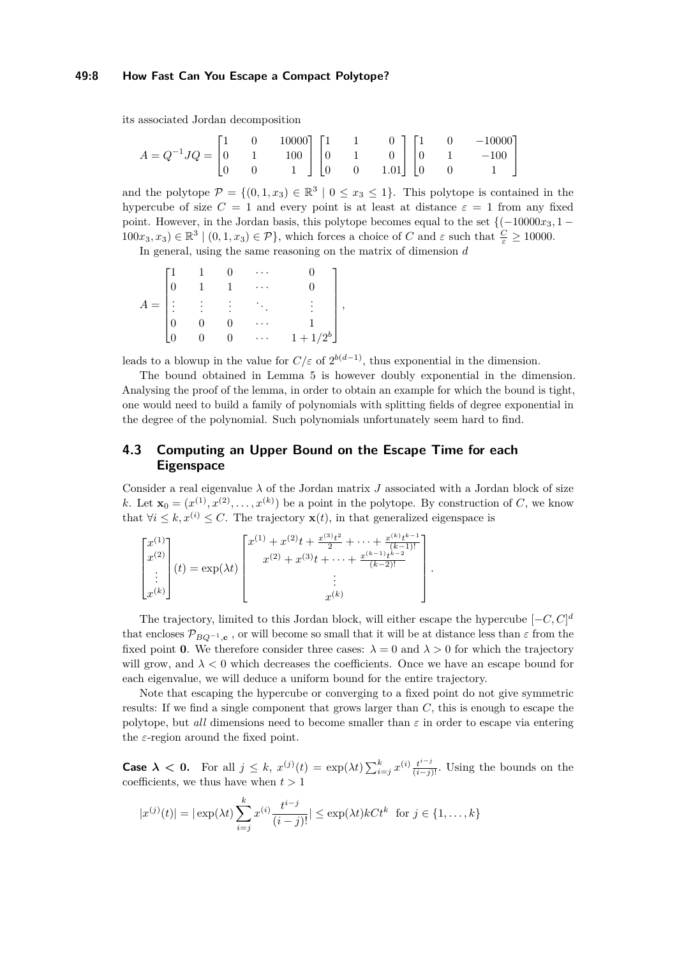#### **49:8 How Fast Can You Escape a Compact Polytope?**

its associated Jordan decomposition

| $A = Q^{-1}JQ = \begin{bmatrix} 1 & 0 & 10000 \\ 0 & 1 & 100 \\ 0 & 0 & 1 \end{bmatrix} \begin{bmatrix} 1 & 1 & 0 \\ 0 & 1 & 0 \\ 0 & 0 & 1.01 \end{bmatrix} \begin{bmatrix} 1 & 0 & -10000 \\ 0 & 1 & -100 \\ 0 & 0 & 1 \end{bmatrix}$ |  |  |  |  |  |
|-----------------------------------------------------------------------------------------------------------------------------------------------------------------------------------------------------------------------------------------|--|--|--|--|--|
|                                                                                                                                                                                                                                         |  |  |  |  |  |
|                                                                                                                                                                                                                                         |  |  |  |  |  |

and the polytope  $\mathcal{P} = \{(0,1,x_3) \in \mathbb{R}^3 \mid 0 \le x_3 \le 1\}$ . This polytope is contained in the hypercube of size  $C = 1$  and every point is at least at distance  $\varepsilon = 1$  from any fixed point. However, in the Jordan basis, this polytope becomes equal to the set  $\{(-10000x<sub>3</sub>, 1 100x_3, x_3$ )  $\in \mathbb{R}^3 \mid (0, 1, x_3) \in \mathcal{P}$ , which forces a choice of *C* and  $\varepsilon$  such that  $\frac{C}{\varepsilon} \ge 10000$ .

In general, using the same reasoning on the matrix of dimension *d*

|       |           |          | $\cdots$        |             |                          |
|-------|-----------|----------|-----------------|-------------|--------------------------|
|       |           |          | $\cdot$ .       |             |                          |
| $A =$ | $\sim 40$ | $\sim$ 1 | $\bullet$       |             | $\overline{\phantom{a}}$ |
|       |           |          | $\cdot$ $\cdot$ |             |                          |
|       |           |          | $\ddotsc$       | $1 + 1/2^b$ |                          |

leads to a blowup in the value for  $C/\varepsilon$  of  $2^{b(d-1)}$ , thus exponential in the dimension.

The bound obtained in Lemma [5](#page-6-1) is however doubly exponential in the dimension. Analysing the proof of the lemma, in order to obtain an example for which the bound is tight, one would need to build a family of polynomials with splitting fields of degree exponential in the degree of the polynomial. Such polynomials unfortunately seem hard to find.

# <span id="page-7-0"></span>**4.3 Computing an Upper Bound on the Escape Time for each Eigenspace**

Consider a real eigenvalue  $\lambda$  of the Jordan matrix  $J$  associated with a Jordan block of size *k*. Let  $\mathbf{x}_0 = (x^{(1)}, x^{(2)}, \dots, x^{(k)})$  be a point in the polytope. By construction of *C*, we know that  $\forall i \leq k, x^{(i)} \leq C$ . The trajectory  $\mathbf{x}(t)$ , in that generalized eigenspace is

*.*

| $(k-2)!$<br>$(t) = \exp(\lambda t)$<br>٠<br>$\cdot$<br>$x^{(k)}$<br>$x^{(k)}$ | $x^{(1)}$<br>$x^{(2)}$ | $\Gamma_x^{(1)} + x^{(2)}t + \frac{x^{(3)}t^2}{2} +$<br>$\frac{x^{(k)}t^{k-1}}{x^{(k)}t^{(k-1)}}$<br>$(k-1)!$<br>$x^{(2)} + x^{(3)}t + \cdots + \frac{x^{(k-1)}t^{k-2}}{t}$ |
|-------------------------------------------------------------------------------|------------------------|-----------------------------------------------------------------------------------------------------------------------------------------------------------------------------|
|-------------------------------------------------------------------------------|------------------------|-----------------------------------------------------------------------------------------------------------------------------------------------------------------------------|

The trajectory, limited to this Jordan block, will either escape the hypercube  $[-C, C]^d$ that encloses  $\mathcal{P}_{BQ^{-1},\mathbf{c}}$ , or will become so small that it will be at distance less than  $\varepsilon$  from the fixed point **0**. We therefore consider three cases:  $\lambda = 0$  and  $\lambda > 0$  for which the trajectory will grow, and  $\lambda < 0$  which decreases the coefficients. Once we have an escape bound for each eigenvalue, we will deduce a uniform bound for the entire trajectory.

Note that escaping the hypercube or converging to a fixed point do not give symmetric results: If we find a single component that grows larger than *C*, this is enough to escape the polytope, but *all* dimensions need to become smaller than  $\varepsilon$  in order to escape via entering the *ε*-region around the fixed point.

**Case**  $\lambda$  < 0. For all  $j \leq k$ ,  $x^{(j)}(t) = \exp(\lambda t) \sum_{i=j}^{k} x^{(i)} \frac{t^{i-j}}{(i-j)!}$ . Using the bounds on the coefficients, we thus have when  $t > 1$ 

$$
|x^{(j)}(t)| = |\exp(\lambda t) \sum_{i=j}^{k} x^{(i)} \frac{t^{i-j}}{(i-j)!}| \le \exp(\lambda t) kC t^k \text{ for } j \in \{1, ..., k\}
$$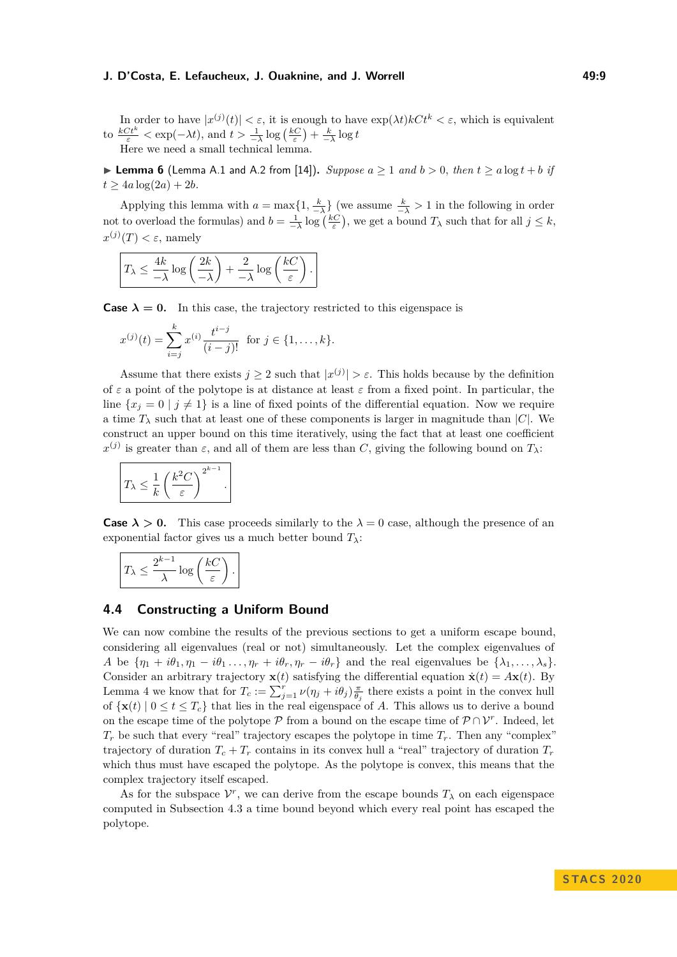In order to have  $|x^{(j)}(t)| < \varepsilon$ , it is enough to have  $\exp(\lambda t)kCt^k < \varepsilon$ , which is equivalent to  $\frac{kCt^k}{\varepsilon} < \exp(-\lambda t)$ , and  $t > \frac{1}{-\lambda} \log\left(\frac{kC}{\varepsilon}\right) + \frac{k}{-\lambda} \log t$ Here we need a small technical lemma.

▶ **Lemma 6** (Lemma A.1 and A.2 from [\[14\]](#page-10-15)). *Suppose*  $a \ge 1$  *and*  $b > 0$ *, then*  $t \ge a \log t + b$  *if*  $t > 4a \log(2a) + 2b$ .

Applying this lemma with  $a = \max\{1, \frac{k}{-\lambda}\}\$  (we assume  $\frac{k}{-\lambda} > 1$  in the following in order not to overload the formulas) and  $b = \frac{1}{-\lambda} \log \left( \frac{kC}{\varepsilon} \right)$ , we get a bound  $T_\lambda$  such that for all  $j \leq k$ ,  $x^{(j)}(T) < \varepsilon$ , namely

$$
T_{\lambda} \leq \frac{4k}{-\lambda} \log \left( \frac{2k}{-\lambda} \right) + \frac{2}{-\lambda} \log \left( \frac{kC}{\varepsilon} \right).
$$

**Case**  $\lambda = 0$ . In this case, the trajectory restricted to this eigenspace is

$$
x^{(j)}(t) = \sum_{i=j}^{k} x^{(i)} \frac{t^{i-j}}{(i-j)!} \text{ for } j \in \{1, \dots, k\}.
$$

Assume that there exists  $j \geq 2$  such that  $|x^{(j)}| > \varepsilon$ . This holds because by the definition of *ε* a point of the polytope is at distance at least *ε* from a fixed point. In particular, the line  ${x_i = 0 | j \neq 1}$  is a line of fixed points of the differential equation. Now we require a time  $T_{\lambda}$  such that at least one of these components is larger in magnitude than  $|C|$ . We construct an upper bound on this time iteratively, using the fact that at least one coefficient *x*<sup>(*j*)</sup> is greater than *ε*, and all of them are less than *C*, giving the following bound on  $T_λ$ :

$$
T_{\lambda} \leq \frac{1}{k} \left(\frac{k^2 C}{\varepsilon}\right)^{2^{k-1}}.
$$

**Case**  $\lambda > 0$ . This case proceeds similarly to the  $\lambda = 0$  case, although the presence of an exponential factor gives us a much better bound  $T_{\lambda}$ :

$$
T_{\lambda} \le \frac{2^{k-1}}{\lambda} \log \left( \frac{kC}{\varepsilon} \right).
$$

#### <span id="page-8-0"></span>**4.4 Constructing a Uniform Bound**

We can now combine the results of the previous sections to get a uniform escape bound, considering all eigenvalues (real or not) simultaneously. Let the complex eigenvalues of *A* be  $\{\eta_1 + i\theta_1, \eta_1 - i\theta_1, \ldots, \eta_r + i\theta_r, \eta_r - i\theta_r\}$  and the real eigenvalues be  $\{\lambda_1, \ldots, \lambda_s\}$ . Consider an arbitrary trajectory  $\mathbf{x}(t)$  satisfying the differential equation  $\dot{\mathbf{x}}(t) = A\mathbf{x}(t)$ . By Lemma [4](#page-5-1) we know that for  $T_c := \sum_{j=1}^r \nu(\eta_j + i\theta_j) \frac{\pi}{\theta_j}$  there exists a point in the convex hull of  $\{x(t) | 0 \le t \le T_c\}$  that lies in the real eigenspace of *A*. This allows us to derive a bound on the escape time of the polytope  $\mathcal P$  from a bound on the escape time of  $\mathcal P \cap \mathcal V^r$ . Indeed, let  $T_r$  be such that every "real" trajectory escapes the polytope in time  $T_r$ . Then any "complex" trajectory of duration  $T_c + T_r$  contains in its convex hull a "real" trajectory of duration  $T_r$ which thus must have escaped the polytope. As the polytope is convex, this means that the complex trajectory itself escaped.

As for the subspace  $V^r$ , we can derive from the escape bounds  $T_\lambda$  on each eigenspace computed in Subsection [4.3](#page-7-0) a time bound beyond which every real point has escaped the polytope.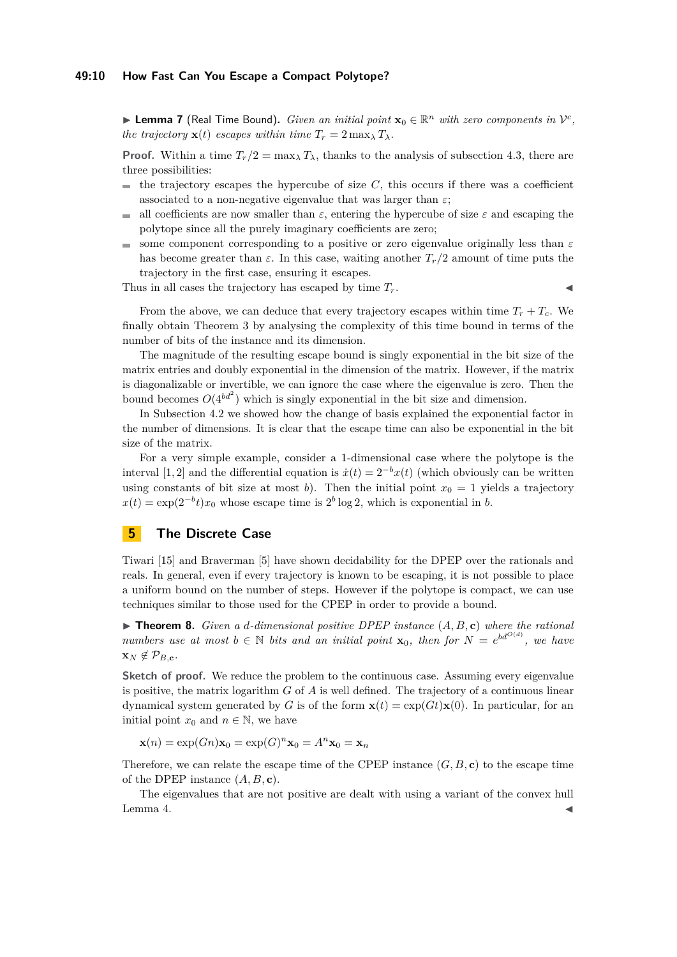**Example 1** Lemma 7 (Real Time Bound). *Given an initial point*  $\mathbf{x}_0 \in \mathbb{R}^n$  *with zero components in*  $\mathcal{V}^c$ , *the trajectory*  $\mathbf{x}(t)$  *escapes within time*  $T_r = 2 \max_{\lambda} T_{\lambda}$ *.* 

**Proof.** Within a time  $T_r/2 = \max_{\lambda} T_{\lambda}$ , thanks to the analysis of subsection [4.3,](#page-7-0) there are three possibilities:

- the trajectory escapes the hypercube of size  $C$ , this occurs if there was a coefficient associated to a non-negative eigenvalue that was larger than  $\varepsilon$ ;
- all coefficients are now smaller than  $\varepsilon$ , entering the hypercube of size  $\varepsilon$  and escaping the  $\frac{1}{2}$ polytope since all the purely imaginary coefficients are zero;
- some component corresponding to a positive or zero eigenvalue originally less than *ε* has become greater than  $\varepsilon$ . In this case, waiting another  $T_r/2$  amount of time puts the trajectory in the first case, ensuring it escapes.

Thus in all cases the trajectory has escaped by time *Tr*. J

From the above, we can deduce that every trajectory escapes within time  $T_r + T_c$ . We finally obtain Theorem [3](#page-4-1) by analysing the complexity of this time bound in terms of the number of bits of the instance and its dimension.

The magnitude of the resulting escape bound is singly exponential in the bit size of the matrix entries and doubly exponential in the dimension of the matrix. However, if the matrix is diagonalizable or invertible, we can ignore the case where the eigenvalue is zero. Then the bound becomes  $O(4^{bd^2})$  which is singly exponential in the bit size and dimension.

In Subsection [4.2](#page-6-0) we showed how the change of basis explained the exponential factor in the number of dimensions. It is clear that the escape time can also be exponential in the bit size of the matrix.

For a very simple example, consider a 1-dimensional case where the polytope is the interval [1, 2] and the differential equation is  $\dot{x}(t) = 2^{-b}x(t)$  (which obviously can be written using constants of bit size at most *b*). Then the initial point  $x_0 = 1$  yields a trajectory  $x(t) = \exp(2^{-b}t)x_0$  whose escape time is  $2^b \log 2$ , which is exponential in *b*.

# **5 The Discrete Case**

Tiwari [\[15\]](#page-10-13) and Braverman [\[5\]](#page-10-12) have shown decidability for the DPEP over the rationals and reals. In general, even if every trajectory is known to be escaping, it is not possible to place a uniform bound on the number of steps. However if the polytope is compact, we can use techniques similar to those used for the CPEP in order to provide a bound.

 $\triangleright$  **Theorem 8.** *Given a d-dimensional positive DPEP instance*  $(A, B, c)$  *where the rational numbers use at most*  $b \in \mathbb{N}$  *bits and an initial point* **x**<sub>0</sub>*, then for*  $N = e^{bd^{O(d)}}$ *, we have*  $\mathbf{x}_N \notin \mathcal{P}_{B,\mathbf{c}}$ *.* 

Sketch of proof. We reduce the problem to the continuous case. Assuming every eigenvalue is positive, the matrix logarithm *G* of *A* is well defined. The trajectory of a continuous linear dynamical system generated by *G* is of the form  $\mathbf{x}(t) = \exp(Gt)\mathbf{x}(0)$ . In particular, for an initial point  $x_0$  and  $n \in \mathbb{N}$ , we have

 $\mathbf{x}(n) = \exp(Gn)\mathbf{x}_0 = \exp(G)^n \mathbf{x}_0 = A^n \mathbf{x}_0 = \mathbf{x}_n$ 

Therefore, we can relate the escape time of the CPEP instance  $(G, B, c)$  to the escape time of the DPEP instance (*A, B,* **c**).

The eigenvalues that are not positive are dealt with using a variant of the convex hull Lemma [4.](#page-5-1)  $\blacktriangleleft$